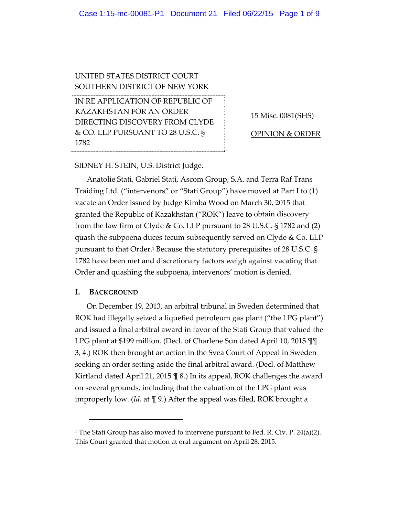## UNITED STATES DISTRICT COURT SOUTHERN DISTRICT OF NEW YORK

IN RE APPLICATION OF REPUBLIC OF KAZAKHSTAN FOR AN ORDER DIRECTING DISCOVERY FROM CLYDE & CO. LLP PURSUANT TO 28 U.S.C. § 1782

15 Misc. 0081(SHS)

OPINION & ORDER

#### SIDNEY H. STEIN, U.S. District Judge.

Anatolie Stati, Gabriel Stati, Ascom Group, S.A. and Terra Raf Trans Traiding Ltd. ("intervenors" or "Stati Group") have moved at Part I to (1) vacate an Order issued by Judge Kimba Wood on March 30, 2015 that granted the Republic of Kazakhstan ("ROK") leave to obtain discovery from the law firm of Clyde & Co. LLP pursuant to 28 U.S.C. § 1782 and (2) quash the subpoena duces tecum subsequently served on Clyde  $\&$  Co. LLP pursuant to that Order.1 Because the statutory prerequisites of 28 U.S.C. § 1782 have been met and discretionary factors weigh against vacating that Order and quashing the subpoena, intervenors' motion is denied.

#### **I. BACKGROUND**

On December 19, 2013, an arbitral tribunal in Sweden determined that ROK had illegally seized a liquefied petroleum gas plant ("the LPG plant") and issued a final arbitral award in favor of the Stati Group that valued the LPG plant at \$199 million. (Decl. of Charlene Sun dated April 10, 2015 ¶¶ 3, 4.) ROK then brought an action in the Svea Court of Appeal in Sweden seeking an order setting aside the final arbitral award. (Decl. of Matthew Kirtland dated April 21, 2015 ¶ 8.) In its appeal, ROK challenges the award on several grounds, including that the valuation of the LPG plant was improperly low. (*Id.* at ¶ 9.) After the appeal was filed, ROK brought a

<sup>&</sup>lt;sup>1</sup> The Stati Group has also moved to intervene pursuant to Fed. R. Civ. P. 24(a)(2). This Court granted that motion at oral argument on April 28, 2015.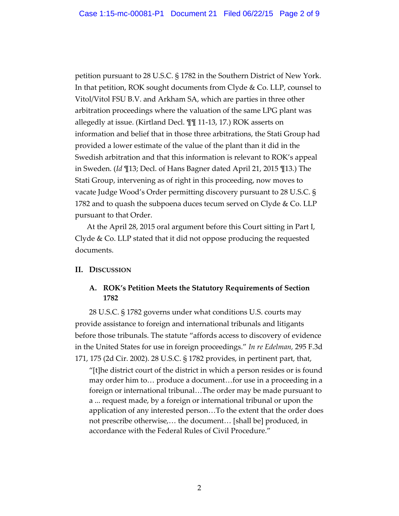petition pursuant to 28 U.S.C. § 1782 in the Southern District of New York. In that petition, ROK sought documents from Clyde & Co. LLP, counsel to Vitol/Vitol FSU B.V. and Arkham SA, which are parties in three other arbitration proceedings where the valuation of the same LPG plant was allegedly at issue. (Kirtland Decl. ¶¶ 11‐13, 17.) ROK asserts on information and belief that in those three arbitrations, the Stati Group had provided a lower estimate of the value of the plant than it did in the Swedish arbitration and that this information is relevant to ROK's appeal in Sweden. (*Id* ¶13; Decl. of Hans Bagner dated April 21, 2015 ¶13.) The Stati Group, intervening as of right in this proceeding, now moves to vacate Judge Wood's Order permitting discovery pursuant to 28 U.S.C. § 1782 and to quash the subpoena duces tecum served on Clyde & Co. LLP pursuant to that Order.

At the April 28, 2015 oral argument before this Court sitting in Part I, Clyde & Co. LLP stated that it did not oppose producing the requested documents.

### **II. DISCUSSION**

### **A. ROK's Petition Meets the Statutory Requirements of Section 1782**

28 U.S.C. § 1782 governs under what conditions U.S. courts may provide assistance to foreign and international tribunals and litigants before those tribunals. The statute "affords access to discovery of evidence in the United States for use in foreign proceedings." *In re Edelman,* 295 F.3d 171, 175 (2d Cir. 2002). 28 U.S.C. § 1782 provides, in pertinent part, that,

"[t]he district court of the district in which a person resides or is found may order him to… produce a document…for use in a proceeding in a foreign or international tribunal…The order may be made pursuant to a ... request made, by a foreign or international tribunal or upon the application of any interested person…To the extent that the order does not prescribe otherwise,… the document… [shall be] produced, in accordance with the Federal Rules of Civil Procedure."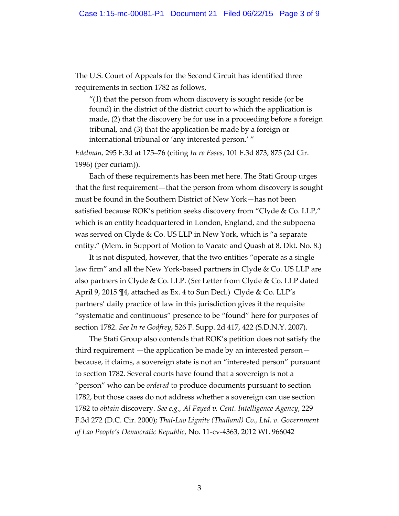The U.S. Court of Appeals for the Second Circuit has identified three requirements in section 1782 as follows,

 $''(1)$  that the person from whom discovery is sought reside (or be found) in the district of the district court to which the application is made, (2) that the discovery be for use in a proceeding before a foreign tribunal, and (3) that the application be made by a foreign or international tribunal or 'any interested person.' "

*Edelman,* 295 F.3d at 175–76 (citing *In re Esses,* 101 F.3d 873, 875 (2d Cir. 1996) (per curiam)).

Each of these requirements has been met here. The Stati Group urges that the first requirement—that the person from whom discovery is sought must be found in the Southern District of New York—has not been satisfied because ROK's petition seeks discovery from "Clyde & Co. LLP," which is an entity headquartered in London, England, and the subpoena was served on Clyde & Co. US LLP in New York, which is "a separate entity." (Mem. in Support of Motion to Vacate and Quash at 8, Dkt. No. 8.)

It is not disputed, however, that the two entities "operate as a single law firm" and all the New York‐based partners in Clyde & Co. US LLP are also partners in Clyde & Co. LLP. (*See* Letter from Clyde & Co. LLP dated April 9, 2015 ¶4, attached as Ex. 4 to Sun Decl.) Clyde & Co. LLP's partners' daily practice of law in this jurisdiction gives it the requisite "systematic and continuous" presence to be "found" here for purposes of section 1782. *See In re Godfrey*, 526 F. Supp. 2d 417, 422 (S.D.N.Y. 2007).

The Stati Group also contends that ROK's petition does not satisfy the third requirement —the application be made by an interested person because, it claims, a sovereign state is not an "interested person" pursuant to section 1782. Several courts have found that a sovereign is not a "person" who can be *ordered* to produce documents pursuant to section 1782, but those cases do not address whether a sovereign can use section 1782 to *obtain* discovery. *See e.g., Al Fayed v. Cent. Intelligence Agency*, 229 F.3d 272 (D.C. Cir. 2000); *Thai‐Lao Lignite (Thailand) Co., Ltd. v. Government of Lao People's Democratic Republic*, No. 11‐cv‐4363, 2012 WL 966042

3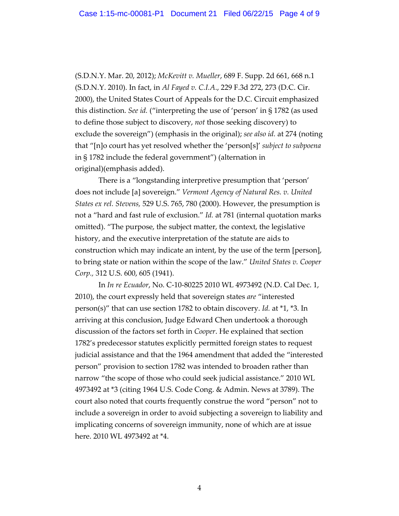(S.D.N.Y. Mar. 20, 2012); *McKevitt v. Mueller*, 689 F. Supp. 2d 661, 668 n.1 (S.D.N.Y. 2010). In fact, in *Al Fayed v. C.I.A*., 229 F.3d 272, 273 (D.C. Cir. 2000), the United States Court of Appeals for the D.C. Circuit emphasized this distinction. *See id.* ("interpreting the use of 'person' in § 1782 (as used to define those subject to discovery, *not* those seeking discovery) to exclude the sovereign") (emphasis in the original); *see also id.* at 274 (noting that "[n]o court has yet resolved whether the 'person[s]' *subject to subpoena* in § 1782 include the federal government") (alternation in original)(emphasis added).

There is a "longstanding interpretive presumption that 'person' does not include [a] sovereign." *Vermont Agency of Natural Res. v. United States ex rel. Stevens,* 529 U.S. 765, 780 (2000). However, the presumption is not a "hard and fast rule of exclusion." *Id.* at 781 (internal quotation marks omitted). "The purpose, the subject matter, the context, the legislative history, and the executive interpretation of the statute are aids to construction which may indicate an intent, by the use of the term [person], to bring state or nation within the scope of the law." *United States v. Cooper Corp.,* 312 U.S. 600, 605 (1941).

In *In re Ecuador*, No. C‐10‐80225 2010 WL 4973492 (N.D. Cal Dec. 1, 2010), the court expressly held that sovereign states *are* "interested person(s)" that can use section 1782 to obtain discovery. *Id.* at \*1, \*3. In arriving at this conclusion, Judge Edward Chen undertook a thorough discussion of the factors set forth in *Cooper*. He explained that section 1782's predecessor statutes explicitly permitted foreign states to request judicial assistance and that the 1964 amendment that added the "interested person" provision to section 1782 was intended to broaden rather than narrow "the scope of those who could seek judicial assistance." 2010 WL 4973492 at \*3 (citing 1964 U.S. Code Cong. & Admin. News at 3789). The court also noted that courts frequently construe the word "person" not to include a sovereign in order to avoid subjecting a sovereign to liability and implicating concerns of sovereign immunity, none of which are at issue here. 2010 WL 4973492 at \*4.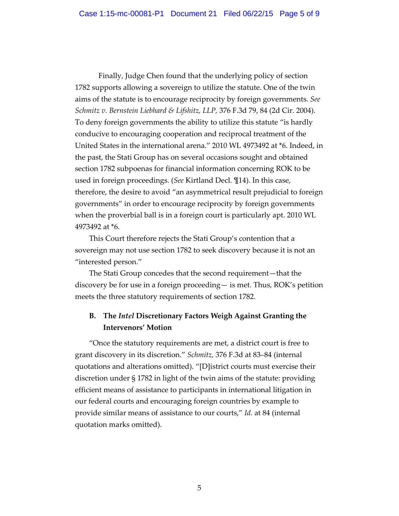Finally, Judge Chen found that the underlying policy of section 1782 supports allowing a sovereign to utilize the statute. One of the twin aims of the statute is to encourage reciprocity by foreign governments. *See Schmitz v. Bernstein Liebhard & Lifshitz, LLP,* 376 F.3d 79, 84 (2d Cir. 2004). To deny foreign governments the ability to utilize this statute "is hardly conducive to encouraging cooperation and reciprocal treatment of the United States in the international arena." 2010 WL 4973492 at \*6. Indeed, in the past, the Stati Group has on several occasions sought and obtained section 1782 subpoenas for financial information concerning ROK to be used in foreign proceedings. (*See* Kirtland Decl. ¶14). In this case, therefore, the desire to avoid "an asymmetrical result prejudicial to foreign governments" in order to encourage reciprocity by foreign governments when the proverbial ball is in a foreign court is particularly apt. 2010 WL 4973492 at \*6.

This Court therefore rejects the Stati Group's contention that a sovereign may not use section 1782 to seek discovery because it is not an "interested person."

The Stati Group concedes that the second requirement—that the discovery be for use in a foreign proceeding— is met. Thus, ROK's petition meets the three statutory requirements of section 1782.

# **B. The** *Intel* **Discretionary Factors Weigh Against Granting the Intervenors' Motion**

"Once the statutory requirements are met, a district court is free to grant discovery in its discretion." *Schmitz,* 376 F.3d at 83–84 (internal quotations and alterations omitted). "[D]istrict courts must exercise their discretion under § 1782 in light of the twin aims of the statute: providing efficient means of assistance to participants in international litigation in our federal courts and encouraging foreign countries by example to provide similar means of assistance to our courts," *Id.* at 84 (internal quotation marks omitted).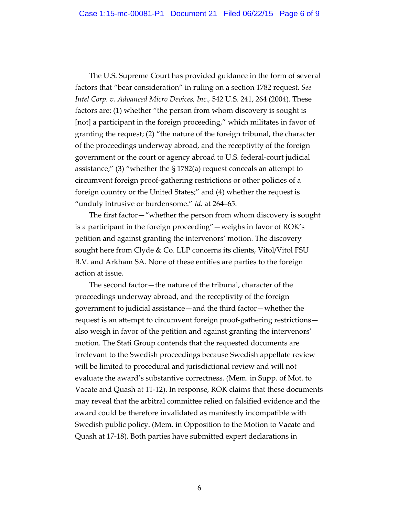The U.S. Supreme Court has provided guidance in the form of several factors that "bear consideration" in ruling on a section 1782 request. *See Intel Corp. v. Advanced Micro Devices, Inc.,* 542 U.S. 241, 264 (2004). These factors are: (1) whether "the person from whom discovery is sought is [not] a participant in the foreign proceeding," which militates in favor of granting the request; (2) "the nature of the foreign tribunal, the character of the proceedings underway abroad, and the receptivity of the foreign government or the court or agency abroad to U.S. federal‐court judicial assistance;" (3) "whether the § 1782(a) request conceals an attempt to circumvent foreign proof‐gathering restrictions or other policies of a foreign country or the United States;" and (4) whether the request is "unduly intrusive or burdensome." *Id.* at 264–65.

The first factor—"whether the person from whom discovery is sought is a participant in the foreign proceeding"—weighs in favor of ROK's petition and against granting the intervenors' motion. The discovery sought here from Clyde & Co. LLP concerns its clients, Vitol/Vitol FSU B.V. and Arkham SA. None of these entities are parties to the foreign action at issue.

The second factor—the nature of the tribunal, character of the proceedings underway abroad, and the receptivity of the foreign government to judicial assistance—and the third factor—whether the request is an attempt to circumvent foreign proof‐gathering restrictions also weigh in favor of the petition and against granting the intervenors' motion. The Stati Group contends that the requested documents are irrelevant to the Swedish proceedings because Swedish appellate review will be limited to procedural and jurisdictional review and will not evaluate the award's substantive correctness. (Mem. in Supp. of Mot. to Vacate and Quash at 11‐12). In response, ROK claims that these documents may reveal that the arbitral committee relied on falsified evidence and the award could be therefore invalidated as manifestly incompatible with Swedish public policy. (Mem. in Opposition to the Motion to Vacate and Quash at 17‐18). Both parties have submitted expert declarations in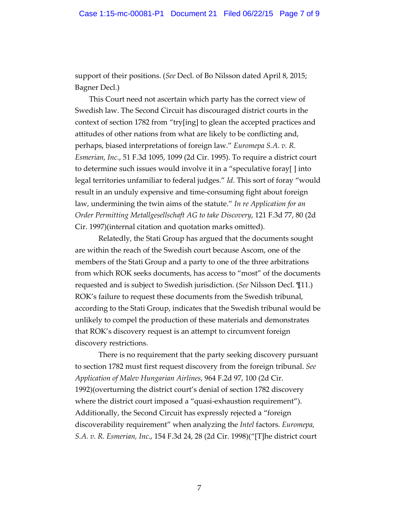support of their positions. (*See* Decl. of Bo Nilsson dated April 8, 2015; Bagner Decl.)

This Court need not ascertain which party has the correct view of Swedish law. The Second Circuit has discouraged district courts in the context of section 1782 from "try[ing] to glean the accepted practices and attitudes of other nations from what are likely to be conflicting and, perhaps, biased interpretations of foreign law." *Euromepa S.A. v. R. Esmerian, Inc.*, 51 F.3d 1095, 1099 (2d Cir. 1995). To require a district court to determine such issues would involve it in a "speculative foray[ ] into legal territories unfamiliar to federal judges." *Id*. This sort of foray "would result in an unduly expensive and time‐consuming fight about foreign law, undermining the twin aims of the statute." *In re Application for an Order Permitting Metallgesellschaft AG to take Discovery*, 121 F.3d 77, 80 (2d Cir. 1997)(internal citation and quotation marks omitted).

Relatedly, the Stati Group has argued that the documents sought are within the reach of the Swedish court because Ascom, one of the members of the Stati Group and a party to one of the three arbitrations from which ROK seeks documents, has access to "most" of the documents requested and is subject to Swedish jurisdiction. (*See* Nilsson Decl. ¶11.) ROK's failure to request these documents from the Swedish tribunal, according to the Stati Group, indicates that the Swedish tribunal would be unlikely to compel the production of these materials and demonstrates that ROK's discovery request is an attempt to circumvent foreign discovery restrictions.

There is no requirement that the party seeking discovery pursuant to section 1782 must first request discovery from the foreign tribunal. *See Application of Malev Hungarian Airlines*, 964 F.2d 97, 100 (2d Cir. 1992)(overturning the district court's denial of section 1782 discovery where the district court imposed a "quasi-exhaustion requirement"). Additionally, the Second Circuit has expressly rejected a "foreign discoverability requirement" when analyzing the *Intel* factors. *Euromepa, S.A. v. R. Esmerian, Inc.*, 154 F.3d 24, 28 (2d Cir. 1998)("[T]he district court

7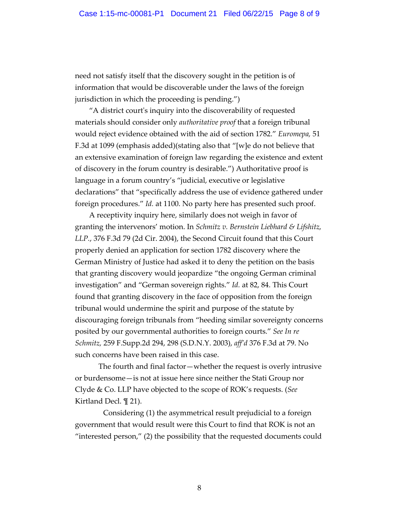need not satisfy itself that the discovery sought in the petition is of information that would be discoverable under the laws of the foreign jurisdiction in which the proceeding is pending.")

"A district courtʹs inquiry into the discoverability of requested materials should consider only *authoritative proof* that a foreign tribunal would reject evidence obtained with the aid of section 1782." *Euromepa,* 51 F.3d at 1099 (emphasis added)(stating also that "[w]e do not believe that an extensive examination of foreign law regarding the existence and extent of discovery in the forum country is desirable.") Authoritative proof is language in a forum country's "judicial, executive or legislative declarations" that "specifically address the use of evidence gathered under foreign procedures." *Id.* at 1100. No party here has presented such proof.

A receptivity inquiry here, similarly does not weigh in favor of granting the intervenors' motion. In *Schmitz v. Bernstein Liebhard & Lifshitz, LLP.*, 376 F.3d 79 (2d Cir. 2004), the Second Circuit found that this Court properly denied an application for section 1782 discovery where the German Ministry of Justice had asked it to deny the petition on the basis that granting discovery would jeopardize "the ongoing German criminal investigation" and "German sovereign rights." *Id.* at 82, 84. This Court found that granting discovery in the face of opposition from the foreign tribunal would undermine the spirit and purpose of the statute by discouraging foreign tribunals from "heeding similar sovereignty concerns posited by our governmental authorities to foreign courts." *See In re Schmitz,* 259 F.Supp.2d 294, 298 (S.D.N.Y. 2003), *aff'd* 376 F.3d at 79. No such concerns have been raised in this case.

The fourth and final factor—whether the request is overly intrusive or burdensome—is not at issue here since neither the Stati Group nor Clyde & Co. LLP have objected to the scope of ROK's requests. (*See* Kirtland Decl. ¶ 21).

Considering (1) the asymmetrical result prejudicial to a foreign government that would result were this Court to find that ROK is not an "interested person," (2) the possibility that the requested documents could

8